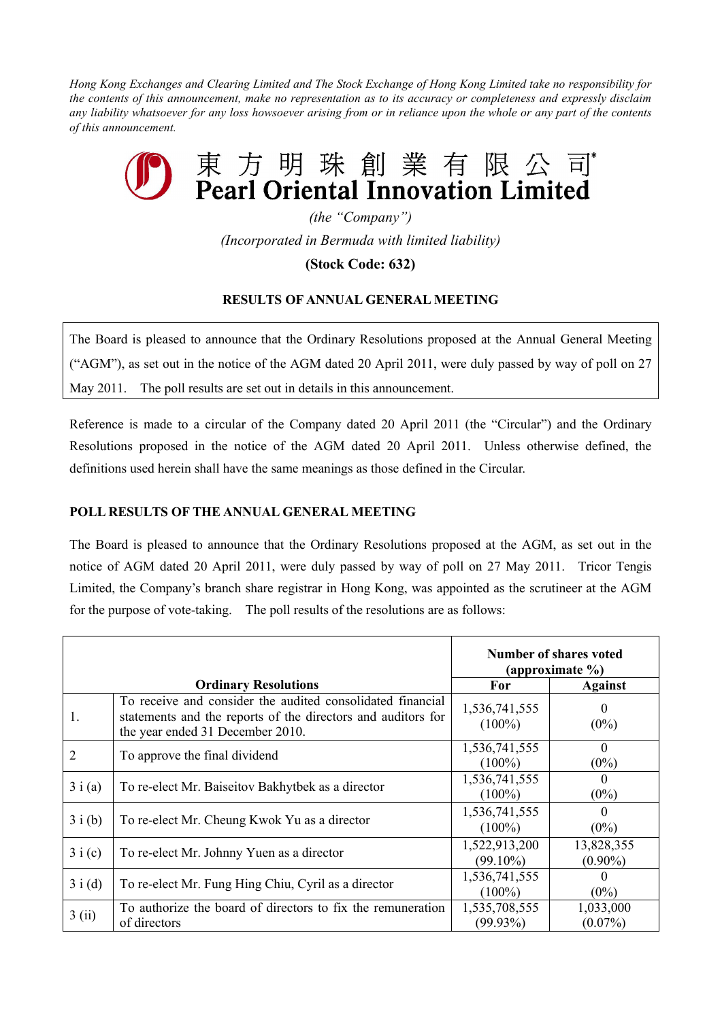Hong Kong Exchanges and Clearing Limited and The Stock Exchange of Hong Kong Limited take no responsibility for the contents of this announcement, make no representation as to its accuracy or completeness and expressly disclaim any liability whatsoever for any loss howsoever arising from or in reliance upon the whole or any part of the contents *of this announcement.*

## 東方明珠創業有限 Pearl Oriental Innovation Limited

*(the "Company") (Incorporated in Bermuda with limited liability)*

## **(Stock Code: 632)**

## **RESULTS OF ANNUAL GENERAL MEETING**

The Board is pleased to announce that the Ordinary Resolutions proposed at the Annual General Meeting ("AGM"), as set out in the notice of the AGM dated 20 April 2011, were duly passed by way of poll on 27 May 2011. The poll results are set out in details in this announcement.

Reference is made to a circular of the Company dated 20 April 2011 (the "Circular") and the Ordinary Resolutions proposed in the notice of the AGM dated 20 April 2011. Unless otherwise defined, the definitions used herein shall have the same meanings as those defined in the Circular.

## **POLL RESULTS OF THE ANNUAL GENERAL MEETING**

The Board is pleased to announce that the Ordinary Resolutions proposed at the AGM, as set out in the notice of AGM dated 20 April 2011, were duly passed by way of poll on 27 May 2011. Tricor Tengis Limited, the Company's branch share registrar in Hong Kong, was appointed as the scrutineer at the AGM for the purpose of vote-taking. The poll results of the resolutions are as follows:

|                             |                                                                                                                                                                | <b>Number of shares voted</b><br>(approximate %) |                          |
|-----------------------------|----------------------------------------------------------------------------------------------------------------------------------------------------------------|--------------------------------------------------|--------------------------|
| <b>Ordinary Resolutions</b> |                                                                                                                                                                | For                                              | <b>Against</b>           |
| 1.                          | To receive and consider the audited consolidated financial<br>statements and the reports of the directors and auditors for<br>the year ended 31 December 2010. | 1,536,741,555<br>$(100\%)$                       | $\theta$<br>$(0\%)$      |
| 2                           | To approve the final dividend                                                                                                                                  | 1,536,741,555<br>$(100\%)$                       | $\theta$<br>$(0\%)$      |
| 3i(a)                       | To re-elect Mr. Baiseitov Bakhytbek as a director                                                                                                              | 1,536,741,555<br>$(100\%)$                       | $\Omega$<br>$(0\%)$      |
| 3i(b)                       | To re-elect Mr. Cheung Kwok Yu as a director                                                                                                                   | 1,536,741,555<br>$(100\%)$                       | $\Omega$<br>$(0\%)$      |
| 3i(c)                       | To re-elect Mr. Johnny Yuen as a director                                                                                                                      | 1,522,913,200<br>$(99.10\%)$                     | 13,828,355<br>$(0.90\%)$ |
| 3i(d)                       | To re-elect Mr. Fung Hing Chiu, Cyril as a director                                                                                                            | 1,536,741,555<br>$(100\%)$                       | $\theta$<br>$(0\%)$      |
| 3(i)                        | To authorize the board of directors to fix the remuneration<br>of directors                                                                                    | 1,535,708,555<br>$(99.93\%)$                     | 1,033,000<br>$(0.07\%)$  |